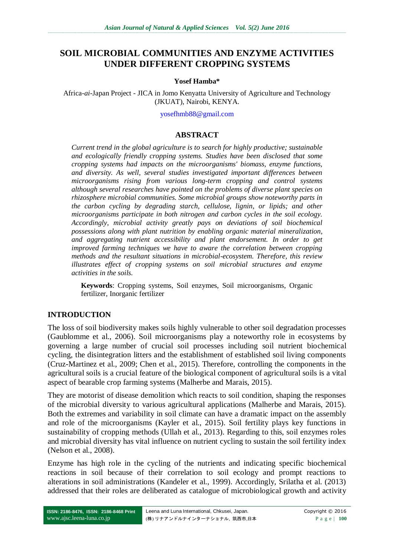# **SOIL MICROBIAL COMMUNITIES AND ENZYME ACTIVITIES UNDER DIFFERENT CROPPING SYSTEMS**

#### **Yosef Hamba\***

Africa-*ai*-Japan Project - JICA in Jomo Kenyatta University of Agriculture and Technology (JKUAT), Nairobi, KENYA.

[yosefhmb88@gmail.com](mailto:yosefhmb88@gmail.com)

#### **ABSTRACT**

*Current trend in the global agriculture is to search for highly productive; sustainable and ecologically friendly cropping systems. Studies have been disclosed that some cropping systems had impacts on the microorganisms' biomass, enzyme functions, and diversity. As well, several studies investigated important differences between microorganisms rising from various long-term cropping and control systems although several researches have pointed on the problems of diverse plant species on rhizosphere microbial communities. Some microbial groups show noteworthy parts in the carbon cycling by degrading starch, cellulose, lignin, or lipids; and other microorganisms participate in both nitrogen and carbon cycles in the soil ecology. Accordingly, microbial activity greatly pays on deviations of soil biochemical possessions along with plant nutrition by enabling organic material mineralization, and aggregating nutrient accessibility and plant endorsement. In order to get improved farming techniques we have to aware the correlation between cropping methods and the resultant situations in microbial-ecosystem. Therefore, this review illustrates effect of cropping systems on soil microbial structures and enzyme activities in the soils.*

**Keywords**: Cropping systems, Soil enzymes, Soil microorganisms, Organic fertilizer, Inorganic fertilizer

#### **INTRODUCTION**

The loss of soil biodiversity makes soils highly vulnerable to other soil degradation processes (Gaublomme et al., 2006). Soil microorganisms play a noteworthy role in ecosystems by governing a large number of crucial soil processes including soil nutrient biochemical cycling, the disintegration litters and the establishment of established soil living components (Cruz-Martinez et al., 2009; Chen et al., 2015). Therefore, controlling the components in the agricultural soils is a crucial feature of the biological component of agricultural soils is a vital aspect of bearable crop farming systems (Malherbe and Marais, 2015).

They are motorist of disease demolition which reacts to soil condition, shaping the responses of the microbial diversity to various agricultural applications (Malherbe and Marais, 2015). Both the extremes and variability in soil climate can have a dramatic impact on the assembly and role of the microorganisms (Kayler et al., 2015). Soil fertility plays key functions in sustainability of cropping methods (Ullah et al., 2013). Regarding to this, soil enzymes roles and microbial diversity has vital influence on nutrient cycling to sustain the soil fertility index (Nelson et al., 2008).

Enzyme has high role in the cycling of the nutrients and indicating specific biochemical reactions in soil because of their correlation to soil ecology and prompt reactions to alterations in soil administrations (Kandeler et al., 1999). Accordingly, Srilatha et al. (2013) addressed that their roles are deliberated as catalogue of microbiological growth and activity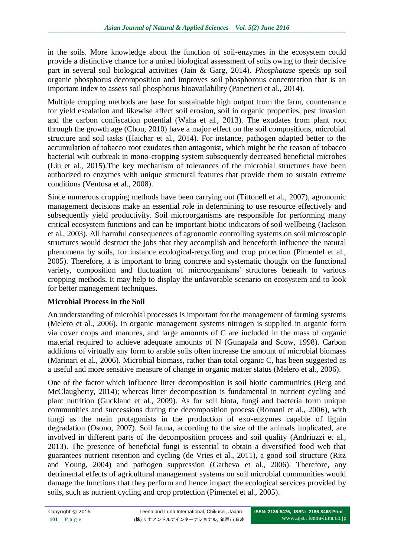in the soils. More knowledge about the function of soil-enzymes in the ecosystem could provide a distinctive chance for a united biological assessment of soils owing to their decisive part in several soil biological activities (Jain & Garg, 2014). *Phosphatase* speeds up soil organic phosphorus decomposition and improves soil phosphorous concentration that is an important index to assess soil phosphorus bioavailability (Panettieri et al., 2014).

Multiple cropping methods are base for sustainable high output from the farm, countenance for yield escalation and likewise affect soil erosion, soil in organic properties, pest invasion and the carbon confiscation potential (Waha et al., 2013). The exudates from plant root through the growth age (Chou, 2010) have a major effect on the soil compositions, microbial structure and soil tasks (Haichar et al., 2014). For instance, pathogen adapted better to the accumulation of tobacco root exudates than antagonist, which might be the reason of tobacco bacterial wilt outbreak in mono-cropping system subsequently decreased beneficial microbes (Liu et al., 2015).The key mechanism of tolerances of the microbial structures have been authorized to enzymes with unique structural features that provide them to sustain extreme conditions (Ventosa et al., 2008).

Since numerous cropping methods have been carrying out (Tittonell et al., 2007), agronomic management decisions make an essential role in determining to use resource effectively and subsequently yield productivity. Soil microorganisms are responsible for performing many critical ecosystem functions and can be important biotic indicators of soil wellbeing (Jackson et al., 2003). All harmful consequences of agronomic controlling systems on soil microscopic structures would destruct the jobs that they accomplish and henceforth influence the natural phenomena by soils, for instance ecological-recycling and crop protection (Pimentel et al., 2005). Therefore, it is important to bring concrete and systematic thought on the functional variety, composition and fluctuation of microorganisms' structures beneath to various cropping methods. It may help to display the unfavorable scenario on ecosystem and to look for better management techniques.

### **Microbial Process in the Soil**

An understanding of microbial processes is important for the management of farming systems (Melero et al., 2006). In organic management systems nitrogen is supplied in organic form via cover crops and manures, and large amounts of C are included in the mass of organic material required to achieve adequate amounts of N (Gunapala and Scow, 1998). Carbon additions of virtually any form to arable soils often increase the amount of microbial biomass (Marinari et al., 2006). Microbial biomass, rather than total organic C, has been suggested as a useful and more sensitive measure of change in organic matter status (Melero et al., 2006).

One of the factor which influence litter decomposition is soil biotic communities (Berg and McClaugherty, 2014); whereas litter decomposition is fundamental in nutrient cycling and plant nutrition (Guckland et al., 2009). As for soil biota, fungi and bacteria form unique communities and successions during the decomposition process (Romaní et al., 2006), with fungi as the main protagonists in the production of exo-enzymes capable of lignin degradation (Osono, 2007). Soil fauna, according to the size of the animals implicated, are involved in different parts of the decomposition process and soil quality (Andriuzzi et al., 2013). The presence of beneficial fungi is essential to obtain a diversified food web that guarantees nutrient retention and cycling (de Vries et al., 2011), a good soil structure (Ritz and Young, 2004) and pathogen suppression (Garbeva et al., 2006). Therefore, any detrimental effects of agricultural management systems on soil microbial communities would damage the functions that they perform and hence impact the ecological services provided by soils, such as nutrient cycling and crop protection (Pimentel et al., 2005).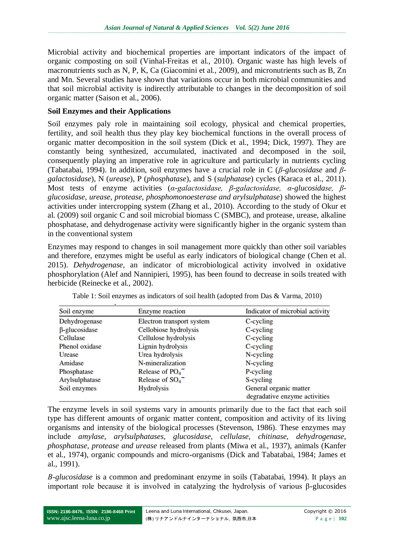Microbial activity and biochemical properties are important indicators of the impact of organic composting on soil (Vinhal-Freitas et al., 2010). Organic waste has high levels of macronutrients such as N, P, K, Ca (Giacomini et al., 2009), and micronutrients such as B, Zn and Mn. Several studies have shown that variations occur in both microbial communities and that soil microbial activity is indirectly attributable to changes in the decomposition of soil organic matter (Saison et al., 2006).

#### **Soil Enzymes and their Applications**

Soil enzymes paly role in maintaining soil ecology, physical and chemical properties, fertility, and soil health thus they play key biochemical functions in the overall process of organic matter decomposition in the soil system (Dick et al., 1994; Dick, 1997). They are constantly being synthesized, accumulated, inactivated and decomposed in the soil, consequently playing an imperative role in agriculture and particularly in nutrients cycling (Tabatabai, 1994). In addition, soil enzymes have a crucial role in C (*β-glucosidase* and *βgalactosidase*), N (*urease*), P (*phosphatase*), and S (*sulphatase*) cycles (Karaca et al., 2011). Most tests of enzyme activities (*α-galactosidase, β-galactosidase, α-glucosidase, βglucosidase, urease, protease, phosphomonoesterase and arylsulphatase*) showed the highest activities under intercropping system (Zhang et al., 2010). According to the study of Okur et al. (2009) soil organic C and soil microbial biomass C (SMBC), and protease, urease, alkaline phosphatase, and dehydrogenase activity were significantly higher in the organic system than in the conventional system

Enzymes may respond to changes in soil management more quickly than other soil variables and therefore, enzymes might be useful as early indicators of biological change (Chen et al. 2015). *Dehydrogenase,* an indicator of microbiological activity involved in oxidative phosphorylation (Alef and Nannipieri, 1995), has been found to decrease in soils treated with herbicide (Reinecke et al., 2002).

| Soil enzyme          | Enzyme reaction           | Indicator of microbial activity                         |
|----------------------|---------------------------|---------------------------------------------------------|
| Dehydrogenase        | Electron transport system | C-cycling                                               |
| $\beta$ -glucosidase | Cellobiose hydrolysis     | C-cycling                                               |
| Cellulase            | Cellulose hydrolysis      | C-cycling                                               |
| Phenol oxidase       | Lignin hydrolysis         | C-cycling                                               |
| Urease               | Urea hydrolysis           | N-cycling                                               |
| Amidase              | N-mineralization          | N-cycling                                               |
| Phosphatase          | Release of $PO4$          | P-cycling                                               |
| Arylsulphatase       | Release of $SO_4^-$       | S-cycling                                               |
| Soil enzymes         | <b>Hydrolysis</b>         | General organic matter<br>degradative enzyme activities |

Table 1: Soil enzymes as indicators of soil health (adopted from Das & Varma, 2010)

The enzyme levels in soil systems vary in amounts primarily due to the fact that each soil type has different amounts of organic matter content, composition and activity of its living organisms and intensity of the biological processes (Stevenson, 1986). These enzymes may include *amylase, arylsulphatases, glucosidase, cellulase, chitinase, dehydrogenase, phosphatase, protease and urease* released from plants (Miwa et al., 1937), animals (Kanfer et al., 1974), organic compounds and micro-organisms (Dick and Tabatabai, 1984; James et al., 1991).

*Β-glucosidase* is a common and predominant enzyme in soils (Tabatabai, 1994). It plays an important role because it is involved in catalyzing the hydrolysis of various β-glucosides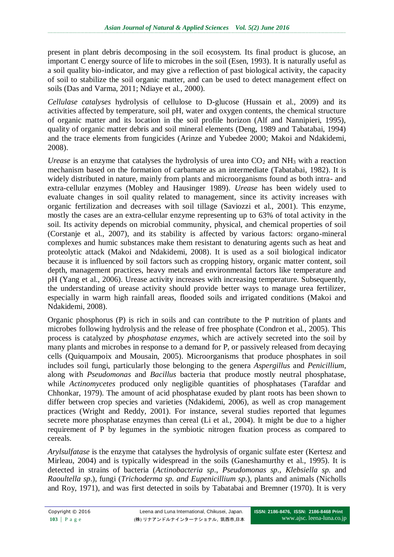present in plant debris decomposing in the soil ecosystem. Its final product is glucose, an important C energy source of life to microbes in the soil (Esen, 1993). It is naturally useful as a soil quality bio-indicator, and may give a reflection of past biological activity, the capacity of soil to stabilize the soil organic matter, and can be used to detect management effect on soils (Das and Varma, 2011; Ndiaye et al., 2000).

*Cellulase catalyses* hydrolysis of cellulose to D-glucose (Hussain et al., 2009) and its activities affected by temperature, soil pH, water and oxygen contents, the chemical structure of organic matter and its location in the soil profile horizon (Alf and Nannipieri, 1995), quality of organic matter debris and soil mineral elements (Deng, 1989 and Tabatabai, 1994) and the trace elements from fungicides (Arinze and Yubedee 2000; Makoi and Ndakidemi, 2008).

*Urease* is an enzyme that catalyses the hydrolysis of urea into  $CO<sub>2</sub>$  and  $NH<sub>3</sub>$  with a reaction mechanism based on the formation of carbamate as an intermediate (Tabatabai, 1982). It is widely distributed in nature, mainly from plants and microorganisms found as both intra- and extra-cellular enzymes (Mobley and Hausinger 1989). *Urease* has been widely used to evaluate changes in soil quality related to management, since its activity increases with organic fertilization and decreases with soil tillage (Saviozzi et al., 2001). This enzyme, mostly the cases are an extra-cellular enzyme representing up to 63% of total activity in the soil. Its activity depends on microbial community, physical, and chemical properties of soil (Corstanje et al., 2007), and its stability is affected by various factors: organo-mineral complexes and humic substances make them resistant to denaturing agents such as heat and proteolytic attack (Makoi and Ndakidemi, 2008). It is used as a soil biological indicator because it is influenced by soil factors such as cropping history, organic matter content, soil depth, management practices, heavy metals and environmental factors like temperature and pH (Yang et al., 2006). Urease activity increases with increasing temperature. Subsequently, the understanding of urease activity should provide better ways to manage urea fertilizer, especially in warm high rainfall areas, flooded soils and irrigated conditions (Makoi and Ndakidemi, 2008).

Organic phosphorus (P) is rich in soils and can contribute to the P nutrition of plants and microbes following hydrolysis and the release of free phosphate (Condron et al., 2005). This process is catalyzed by *phosphatase enzymes*, which are actively secreted into the soil by many plants and microbes in response to a demand for P, or passively released from decaying cells (Quiquampoix and Mousain, 2005). Microorganisms that produce phosphates in soil includes soil fungi, particularly those belonging to the genera *Aspergillus* and *Penicillium*, along with *Pseudomonas* and *Bacillus* bacteria that produce mostly neutral phosphatase, while *Actinomycetes* produced only negligible quantities of phosphatases (Tarafdar and Chhonkar, 1979). The amount of acid phosphatase exuded by plant roots has been shown to differ between crop species and varieties (Ndakidemi, 2006), as well as crop management practices (Wright and Reddy, 2001). For instance, several studies reported that legumes secrete more phosphatase enzymes than cereal (Li et al., 2004). It might be due to a higher requirement of P by legumes in the symbiotic nitrogen fixation process as compared to cereals.

*Arylsulfatase* is the enzyme that catalyses the hydrolysis of organic sulfate ester (Kertesz and Mirleau, 2004) and is typically widespread in the soils (Ganeshamurthy et al., 1995). It is detected in strains of bacteria (*Actinobacteria sp*., *Pseudomonas sp*., *Klebsiella sp.* and *Raoultella sp*.), fungi (*Trichoderma sp. and Eupenicillium sp*.), plants and animals (Nicholls and Roy, 1971), and was first detected in soils by Tabatabai and Bremner (1970). It is very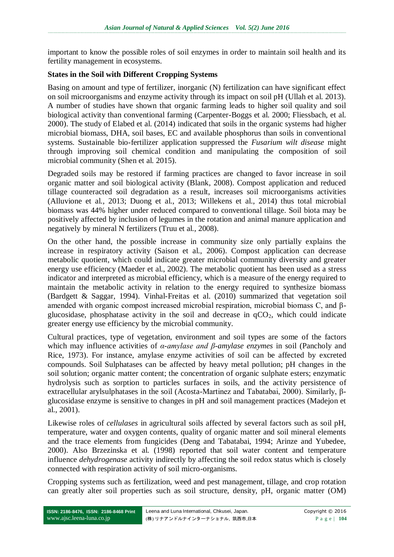important to know the possible roles of soil enzymes in order to maintain soil health and its fertility management in ecosystems.

#### **States in the Soil with Different Cropping Systems**

Basing on amount and type of fertilizer, inorganic (N) fertilization can have significant effect on soil microorganisms and enzyme activity through its impact on soil pH (Ullah et al. 2013). A number of studies have shown that organic farming leads to higher soil quality and soil biological activity than conventional farming (Carpenter-Boggs et al. 2000; Fliessbach, et al. 2000). The study of Elabed et al. (2014) indicated that soils in the organic systems had higher microbial biomass, DHA, soil bases, EC and available phosphorus than soils in conventional systems. Sustainable bio-fertilizer application suppressed the *Fusarium wilt disease* might through improving soil chemical condition and manipulating the composition of soil microbial community (Shen et al. 2015).

Degraded soils may be restored if farming practices are changed to favor increase in soil organic matter and soil biological activity (Blank, 2008). Compost application and reduced tillage counteracted soil degradation as a result, increases soil microorganisms activities (Alluvione et al., 2013; Duong et al., 2013; Willekens et al., 2014) thus total microbial biomass was 44% higher under reduced compared to conventional tillage. Soil biota may be positively affected by inclusion of legumes in the rotation and animal manure application and negatively by mineral N fertilizers (Truu et al., 2008).

On the other hand, the possible increase in community size only partially explains the increase in respiratory activity (Saison et al., 2006). Compost application can decrease metabolic quotient, which could indicate greater microbial community diversity and greater energy use efficiency (Maeder et al., 2002). The metabolic quotient has been used as a stress indicator and interpreted as microbial efficiency, which is a measure of the energy required to maintain the metabolic activity in relation to the energy required to synthesize biomass (Bardgett & Saggar, 1994). Vinhal-Freitas et al. (2010) summarized that vegetation soil amended with organic compost increased microbial respiration, microbial biomass C, and βglucosidase, phosphatase activity in the soil and decrease in  $qCO<sub>2</sub>$ , which could indicate greater energy use efficiency by the microbial community.

Cultural practices, type of vegetation, environment and soil types are some of the factors which may influence activities of *α-amylase and β-amylase enzymes* in soil (Pancholy and Rice, 1973). For instance, amylase enzyme activities of soil can be affected by excreted compounds. Soil Sulphatases can be affected by heavy metal pollution; pH changes in the soil solution; organic matter content; the concentration of organic sulphate esters; enzymatic hydrolysis such as sorption to particles surfaces in soils, and the activity persistence of extracellular arylsulphatases in the soil (Acosta-Martinez and Tabatabai, 2000). Similarly, βglucosidase enzyme is sensitive to changes in pH and soil management practices (Madejon et al., 2001).

Likewise roles of *cellulases* in agricultural soils affected by several factors such as soil pH, temperature, water and oxygen contents, quality of organic matter and soil mineral elements and the trace elements from fungicides (Deng and Tabatabai, 1994; Arinze and Yubedee, 2000). Also Brzezinska et al. (1998) reported that soil water content and temperature influence *dehydrogenase* activity indirectly by affecting the soil redox status which is closely connected with respiration activity of soil micro-organisms.

Cropping systems such as fertilization, weed and pest management, tillage, and crop rotation can greatly alter soil properties such as soil structure, density, pH, organic matter (OM)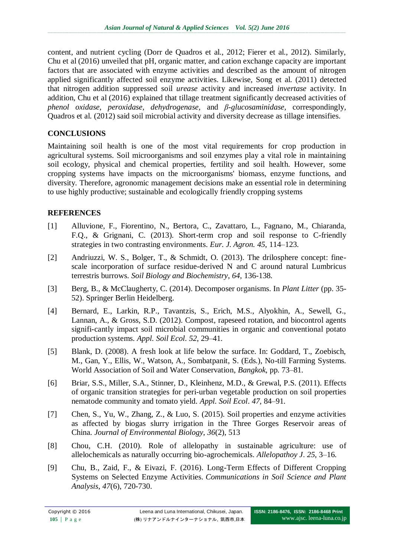content, and nutrient cycling (Dorr de Quadros et al., 2012; Fierer et al., 2012). Similarly, Chu et al (2016) unveiled that pH, organic matter, and cation exchange capacity are important factors that are associated with enzyme activities and described as the amount of nitrogen applied significantly affected soil enzyme activities. Likewise, Song et al. (2011) detected that nitrogen addition suppressed soil *urease* activity and increased *invertase* activity. In addition, Chu et al (2016) explained that tillage treatment significantly decreased activities of *phenol oxidase, peroxidase, dehydrogenase,* and *β-glucosaminidase,* correspondingly*,*  Quadros et al. (2012) said soil microbial activity and diversity decrease as tillage intensifies.

### **CONCLUSIONS**

Maintaining soil health is one of the most vital requirements for crop production in agricultural systems. Soil microorganisms and soil enzymes play a vital role in maintaining soil ecology, physical and chemical properties, fertility and soil health. However, some cropping systems have impacts on the microorganisms' biomass, enzyme functions, and diversity. Therefore, agronomic management decisions make an essential role in determining to use highly productive; sustainable and ecologically friendly cropping systems

## **REFERENCES**

- [1] Alluvione, F., Fiorentino, N., Bertora, C., Zavattaro, L., Fagnano, M., Chiaranda, F.Q., & Grignani, C. (2013). Short-term crop and soil response to C-friendly strategies in two contrasting environments. *Eur. J. Agron. 45*, 114–123.
- [2] Andriuzzi, W. S., Bolger, T., & Schmidt, O. (2013). The drilosphere concept: finescale incorporation of surface residue-derived N and C around natural Lumbricus terrestris burrows. *Soil Biology and Biochemistry*, *64*, 136-138.
- [3] Berg, B., & McClaugherty, C. (2014). Decomposer organisms. In *Plant Litter* (pp. 35- 52). Springer Berlin Heidelberg.
- [4] Bernard, E., Larkin, R.P., Tavantzis, S., Erich, M.S., Alyokhin, A., Sewell, G., Lannan, A., & Gross, S.D. (2012). Compost, rapeseed rotation, and biocontrol agents signifi-cantly impact soil microbial communities in organic and conventional potato production systems. *Appl. Soil Ecol*. *52*, 29–41.
- [5] Blank, D. (2008). A fresh look at life below the surface. In: Goddard, T., Zoebisch, M., Gan, Y., Ellis, W., Watson, A., Sombatpanit, S. (Eds.), No-till Farming Systems. World Association of Soil and Water Conservation, *Bangkok*, pp. 73–81.
- [6] Briar, S.S., Miller, S.A., Stinner, D., Kleinhenz, M.D., & Grewal, P.S. (2011). Effects of organic transition strategies for peri-urban vegetable production on soil properties nematode community and tomato yield. *Appl. Soil Ecol*. *47*, 84–91.
- [7] Chen, S., Yu, W., Zhang, Z., & Luo, S. (2015). Soil properties and enzyme activities as affected by biogas slurry irrigation in the Three Gorges Reservoir areas of China. *Journal of Environmental Biology*, *36*(2), 513
- [8] Chou, C.H. (2010). Role of allelopathy in sustainable agriculture: use of allelochemicals as naturally occurring bio-agrochemicals. *Allelopathoy J*. *25*, 3–16.
- [9] Chu, B., Zaid, F., & Eivazi, F. (2016). Long-Term Effects of Different Cropping Systems on Selected Enzyme Activities. *Communications in Soil Science and Plant Analysis*, *47*(6), 720-730.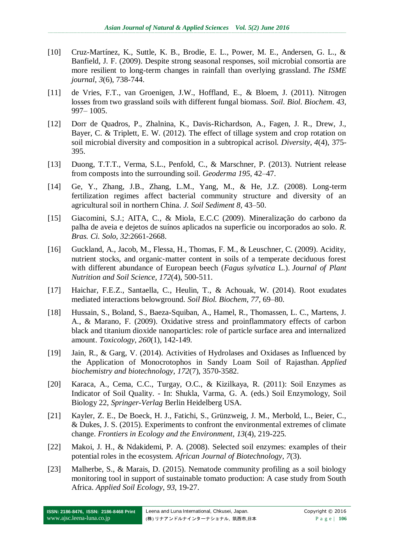- [10] Cruz-Martínez, K., Suttle, K. B., Brodie, E. L., Power, M. E., Andersen, G. L., & Banfield, J. F. (2009). Despite strong seasonal responses, soil microbial consortia are more resilient to long-term changes in rainfall than overlying grassland. *The ISME journal*, *3*(6), 738-744.
- [11] de Vries, F.T., van Groenigen, J.W., Hoffland, E., & Bloem, J. (2011). Nitrogen losses from two grassland soils with different fungal biomass. *Soil. Biol. Biochem*. *43*, 997– 1005.
- [12] Dorr de Quadros, P., Zhalnina, K., Davis-Richardson, A., Fagen, J. R., Drew, J., Bayer, C. & Triplett, E. W. (2012). The effect of tillage system and crop rotation on soil microbial diversity and composition in a subtropical acrisol. *Diversity*, *4*(4), 375- 395.
- [13] Duong, T.T.T., Verma, S.L., Penfold, C., & Marschner, P. (2013). Nutrient release from composts into the surrounding soil. *Geoderma 195*, 42–47.
- [14] Ge, Y., Zhang, J.B., Zhang, L.M., Yang, M., & He, J.Z. (2008). Long-term fertilization regimes affect bacterial community structure and diversity of an agricultural soil in northern China. *J. Soil Sediment 8,* 43–50.
- [15] Giacomini, S.J.; AITA, C., & Miola, E.C.C (2009). Mineralização do carbono da palha de aveia e dejetos de suínos aplicados na superficie ou incorporados ao solo. *R. Bras. Ci. Solo*, *32*:2661-2668.
- [16] Guckland, A., Jacob, M., Flessa, H., Thomas, F. M., & Leuschner, C. (2009). Acidity, nutrient stocks, and organic‐matter content in soils of a temperate deciduous forest with different abundance of European beech (*Fagus sylvatica* L.). *Journal of Plant Nutrition and Soil Science*, *172*(4), 500-511.
- [17] Haichar, F.E.Z., Santaella, C., Heulin, T., & Achouak, W. (2014). Root exudates mediated interactions belowground. *Soil Biol. Biochem*, *77*, 69–80.
- [18] Hussain, S., Boland, S., Baeza-Squiban, A., Hamel, R., Thomassen, L. C., Martens, J. A., & Marano, F. (2009). Oxidative stress and proinflammatory effects of carbon black and titanium dioxide nanoparticles: role of particle surface area and internalized amount. *Toxicology*, *260*(1), 142-149.
- [19] Jain, R., & Garg, V. (2014). Activities of Hydrolases and Oxidases as Influenced by the Application of Monocrotophos in Sandy Loam Soil of Rajasthan. *Applied biochemistry and biotechnology*, *172*(7), 3570-3582.
- [20] Karaca, A., Cema, C.C., Turgay, O.C., & Kizilkaya, R. (2011): Soil Enzymes as Indicator of Soil Quality. - In: Shukla, Varma, G. A. (eds.) Soil Enzymology, Soil Biology 22, *Springer-Verlag* Berlin Heidelberg USA.
- [21] Kayler, Z. E., De Boeck, H. J., Fatichi, S., Grünzweig, J. M., Merbold, L., Beier, C., & Dukes, J. S. (2015). Experiments to confront the environmental extremes of climate change. *Frontiers in Ecology and the Environment*, *13*(4), 219-225.
- [22] Makoi, J. H., & Ndakidemi, P. A. (2008). Selected soil enzymes: examples of their potential roles in the ecosystem. *African Journal of Biotechnology*, *7*(3).
- [23] Malherbe, S., & Marais, D. (2015). Nematode community profiling as a soil biology monitoring tool in support of sustainable tomato production: A case study from South Africa. *Applied Soil Ecology*, *93*, 19-27.